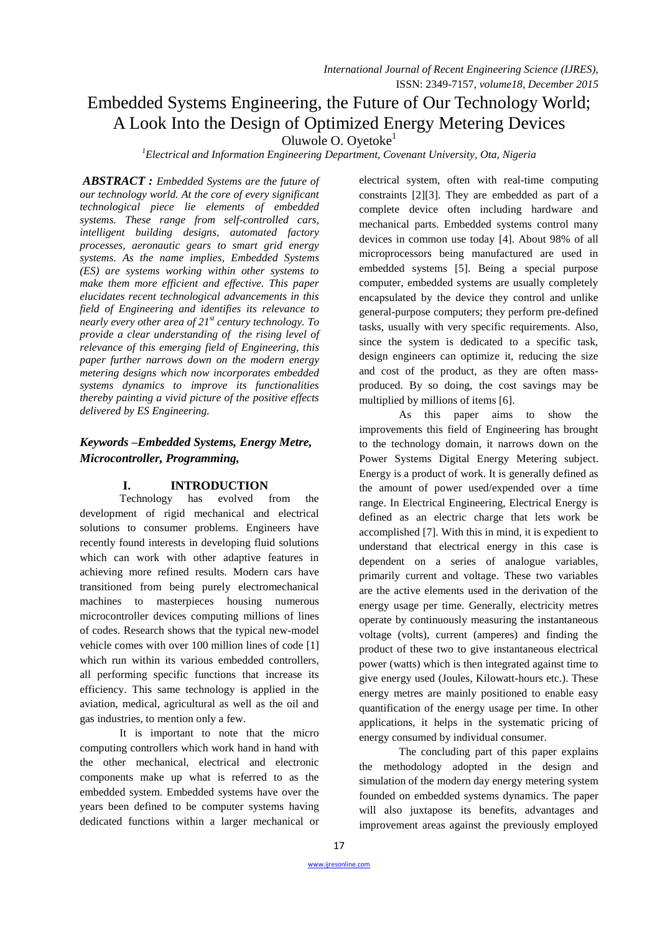# Embedded Systems Engineering, the Future of Our Technology World; A Look Into the Design of Optimized Energy Metering Devices

Oluwole O. Oyetoke<sup>1</sup>

*<sup>1</sup>Electrical and Information Engineering Department, Covenant University, Ota, Nigeria*

*ABSTRACT : Embedded Systems are the future of our technology world. At the core of every significant technological piece lie elements of embedded systems. These range from self-controlled cars, intelligent building designs, automated factory processes, aeronautic gears to smart grid energy systems. As the name implies, Embedded Systems (ES) are systems working within other systems to make them more efficient and effective. This paper elucidates recent technological advancements in this field of Engineering and identifies its relevance to nearly every other area of 21st century technology. To provide a clear understanding of the rising level of relevance of this emerging field of Engineering, this paper further narrows down on the modern energy metering designs which now incorporates embedded systems dynamics to improve its functionalities thereby painting a vivid picture of the positive effects delivered by ES Engineering.*

# *Keywords –Embedded Systems, Energy Metre, Microcontroller, Programming,*

# **I. INTRODUCTION**

Technology has evolved from the development of rigid mechanical and electrical solutions to consumer problems. Engineers have recently found interests in developing fluid solutions which can work with other adaptive features in achieving more refined results. Modern cars have transitioned from being purely electromechanical machines to masterpieces housing numerous microcontroller devices computing millions of lines of codes. Research shows that the typical new-model vehicle comes with over 100 million lines of code [1] which run within its various embedded controllers, all performing specific functions that increase its efficiency. This same technology is applied in the aviation, medical, agricultural as well as the oil and gas industries, to mention only a few.

It is important to note that the micro computing controllers which work hand in hand with the other mechanical, electrical and electronic components make up what is referred to as the embedded system. Embedded systems have over the years been defined to be computer systems having dedicated functions within a larger mechanical or

electrical system, often with real-time computing constraints [2][3]. They are embedded as part of a complete device often including hardware and mechanical parts. Embedded systems control many devices in common use today [4]. About 98% of all microprocessors being manufactured are used in embedded systems [5]. Being a special purpose computer, embedded systems are usually completely encapsulated by the device they control and unlike general-purpose computers; they perform pre-defined tasks, usually with very specific requirements. Also, since the system is dedicated to a specific task, design engineers can optimize it, reducing the size and cost of the product, as they are often massproduced. By so doing, the cost savings may be multiplied by millions of items [6].

As this paper aims to show the improvements this field of Engineering has brought to the technology domain, it narrows down on the Power Systems Digital Energy Metering subject. Energy is a product of work. It is generally defined as the amount of power used/expended over a time range. In Electrical Engineering, Electrical Energy is defined as an electric charge that lets work be accomplished [7]. With this in mind, it is expedient to understand that electrical energy in this case is dependent on a series of analogue variables, primarily current and voltage. These two variables are the active elements used in the derivation of the energy usage per time. Generally, electricity metres operate by continuously measuring the instantaneous voltage (volts), current (amperes) and finding the product of these two to give instantaneous electrical power (watts) which is then integrated against time to give energy used (Joules, Kilowatt-hours etc.). These energy metres are mainly positioned to enable easy quantification of the energy usage per time. In other applications, it helps in the systematic pricing of energy consumed by individual consumer.

The concluding part of this paper explains the methodology adopted in the design and simulation of the modern day energy metering system founded on embedded systems dynamics. The paper will also juxtapose its benefits, advantages and improvement areas against the previously employed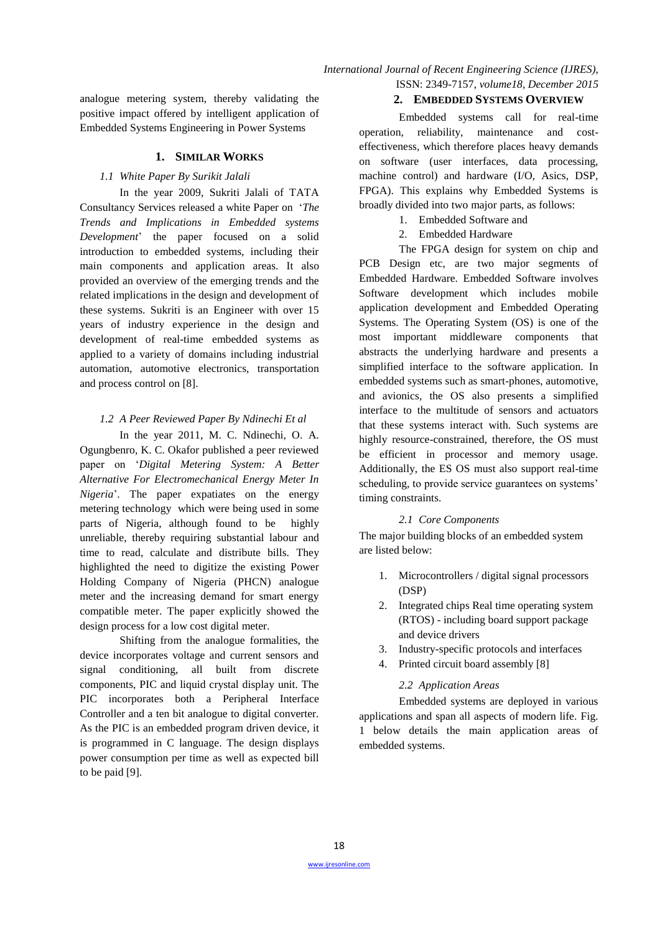analogue metering system, thereby validating the positive impact offered by intelligent application of Embedded Systems Engineering in Power Systems

# **1. SIMILAR WORKS**

# *1.1 White Paper By Surikit Jalali*

In the year 2009, Sukriti Jalali of TATA Consultancy Services released a white Paper on "*The Trends and Implications in Embedded systems Development*" the paper focused on a solid introduction to embedded systems, including their main components and application areas. It also provided an overview of the emerging trends and the related implications in the design and development of these systems. Sukriti is an Engineer with over 15 years of industry experience in the design and development of real-time embedded systems as applied to a variety of domains including industrial automation, automotive electronics, transportation and process control on [8].

# *1.2 A Peer Reviewed Paper By Ndinechi Et al*

In the year 2011, M. C. Ndinechi, O. A. Ogungbenro, K. C. Okafor published a peer reviewed paper on "*Digital Metering System: A Better Alternative For Electromechanical Energy Meter In Nigeria*". The paper expatiates on the energy metering technology which were being used in some parts of Nigeria, although found to be highly unreliable, thereby requiring substantial labour and time to read, calculate and distribute bills. They highlighted the need to digitize the existing Power Holding Company of Nigeria (PHCN) analogue meter and the increasing demand for smart energy compatible meter. The paper explicitly showed the design process for a low cost digital meter.

Shifting from the analogue formalities, the device incorporates voltage and current sensors and signal conditioning, all built from discrete components, PIC and liquid crystal display unit. The PIC incorporates both a Peripheral Interface Controller and a ten bit analogue to digital converter. As the PIC is an embedded program driven device, it is programmed in C language. The design displays power consumption per time as well as expected bill to be paid [9].

# **2. EMBEDDED SYSTEMS OVERVIEW**

Embedded systems call for real-time operation, reliability, maintenance and costeffectiveness, which therefore places heavy demands on software (user interfaces, data processing, machine control) and hardware (I/O, Asics, DSP, FPGA). This explains why Embedded Systems is broadly divided into two major parts, as follows:

- 1. Embedded Software and
- 2. Embedded Hardware

The FPGA design for system on chip and PCB Design etc, are two major segments of Embedded Hardware. Embedded Software involves Software development which includes mobile application development and Embedded Operating Systems. The Operating System (OS) is one of the most important middleware components that abstracts the underlying hardware and presents a simplified interface to the software application. In embedded systems such as smart-phones, automotive, and avionics, the OS also presents a simplified interface to the multitude of sensors and actuators that these systems interact with. Such systems are highly resource-constrained, therefore, the OS must be efficient in processor and memory usage. Additionally, the ES OS must also support real-time scheduling, to provide service guarantees on systems' timing constraints.

# *2.1 Core Components*

The major building blocks of an embedded system are listed below:

- 1. Microcontrollers / digital signal processors (DSP)
- 2. Integrated chips Real time operating system (RTOS) - including board support package and device drivers
- 3. Industry-specific protocols and interfaces
- 4. Printed circuit board assembly [8]

# *2.2 Application Areas*

Embedded systems are deployed in various applications and span all aspects of modern life. Fig. 1 below details the main application areas of embedded systems.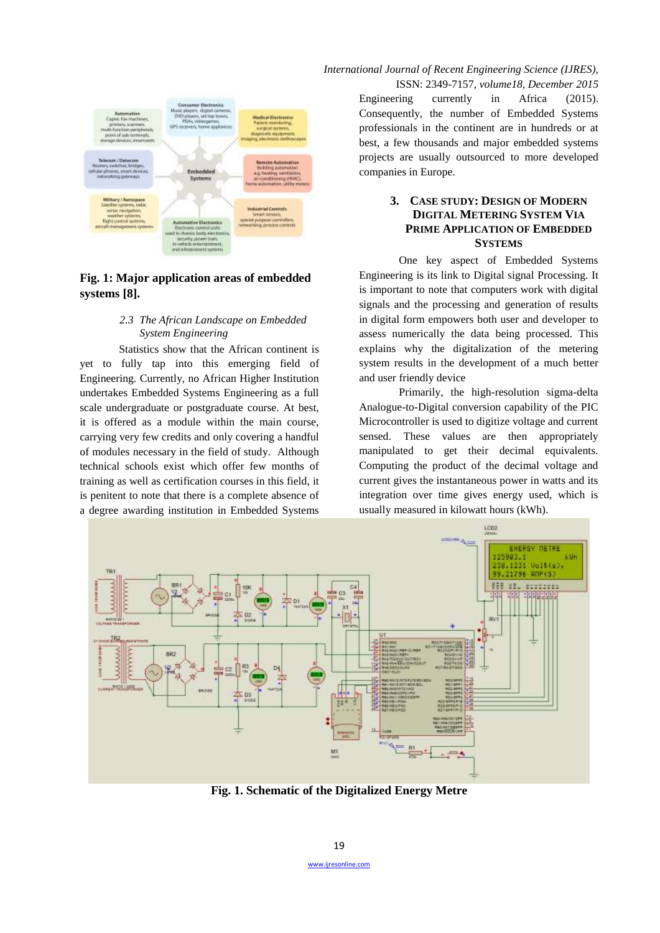

# **Fig. 1: Major application areas of embedded systems [8].**

# *2.3 The African Landscape on Embedded System Engineering*

Statistics show that the African continent is yet to fully tap into this emerging field of Engineering. Currently, no African Higher Institution undertakes Embedded Systems Engineering as a full scale undergraduate or postgraduate course. At best, it is offered as a module within the main course, carrying very few credits and only covering a handful of modules necessary in the field of study. Although technical schools exist which offer few months of training as well as certification courses in this field, it is penitent to note that there is a complete absence of a degree awarding institution in Embedded Systems

*International Journal of Recent Engineering Science (IJRES),*

ISSN: 2349-7157, *volume18, December 2015* Engineering currently in Africa (2015). Consequently, the number of Embedded Systems professionals in the continent are in hundreds or at best, a few thousands and major embedded systems projects are usually outsourced to more developed companies in Europe.

# **3. CASE STUDY: DESIGN OF MODERN DIGITAL METERING SYSTEM VIA PRIME APPLICATION OF EMBEDDED SYSTEMS**

One key aspect of Embedded Systems Engineering is its link to Digital signal Processing. It is important to note that computers work with digital signals and the processing and generation of results in digital form empowers both user and developer to assess numerically the data being processed. This explains why the digitalization of the metering system results in the development of a much better and user friendly device

Primarily, the high-resolution sigma-delta Analogue-to-Digital conversion capability of the PIC Microcontroller is used to digitize voltage and current sensed. These values are then appropriately manipulated to get their decimal equivalents. Computing the product of the decimal voltage and current gives the instantaneous power in watts and its integration over time gives energy used, which is usually measured in kilowatt hours (kWh).



**Fig. 1. Schematic of the Digitalized Energy Metre**

wijresonline.com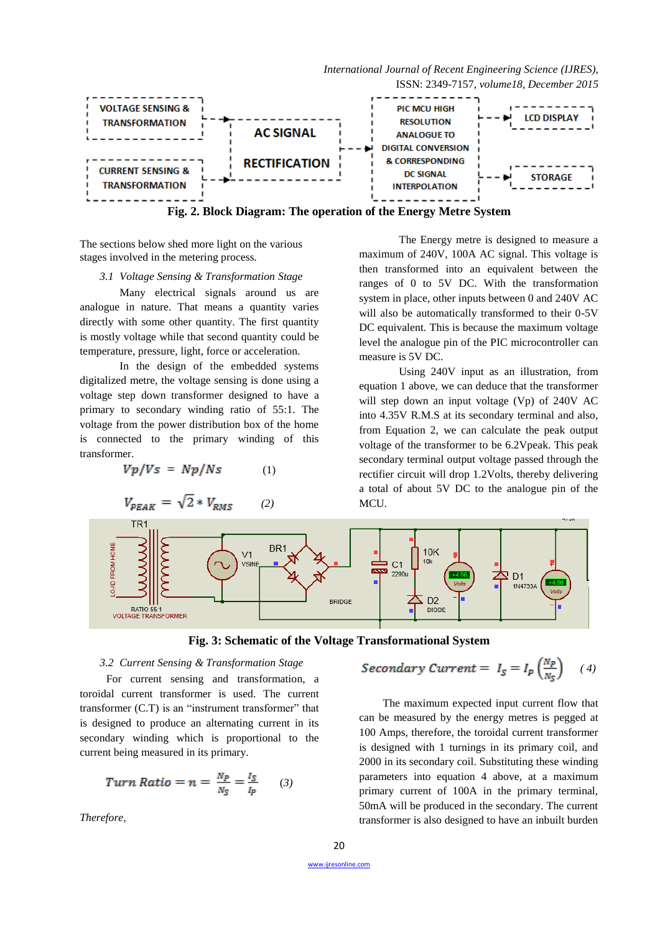

The sections below shed more light on the various stages involved in the metering process*.*

#### *3.1 Voltage Sensing & Transformation Stage*

Many electrical signals around us are analogue in nature. That means a quantity varies directly with some other quantity. The first quantity is mostly voltage while that second quantity could be temperature, pressure, light, force or acceleration.

In the design of the embedded systems digitalized metre, the voltage sensing is done using a voltage step down transformer designed to have a primary to secondary winding ratio of 55:1. The voltage from the power distribution box of the home is connected to the primary winding of this transformer.

$$
Vp/Vs = Np/Ns \qquad (1)
$$

 $V_{PEAK} = \sqrt{2} * V_{RMS}$  (2)

The Energy metre is designed to measure a maximum of 240V, 100A AC signal. This voltage is then transformed into an equivalent between the ranges of 0 to 5V DC. With the transformation system in place, other inputs between 0 and 240V AC will also be automatically transformed to their 0-5V DC equivalent. This is because the maximum voltage level the analogue pin of the PIC microcontroller can measure is 5V DC.

Using 240V input as an illustration, from equation 1 above, we can deduce that the transformer will step down an input voltage (Vp) of 240V AC into 4.35V R.M.S at its secondary terminal and also, from Equation 2, we can calculate the peak output voltage of the transformer to be 6.2Vpeak. This peak secondary terminal output voltage passed through the rectifier circuit will drop 1.2Volts, thereby delivering a total of about 5V DC to the analogue pin of the MCU.



**Fig. 3: Schematic of the Voltage Transformational System**

#### *3.2 Current Sensing & Transformation Stage*

For current sensing and transformation, a toroidal current transformer is used. The current transformer (C.T) is an "instrument transformer" that is designed to produce an alternating current in its secondary winding which is proportional to the current being measured in its primary.

$$
Turn Ratio = n = \frac{N_P}{N_S} = \frac{I_S}{I_P} \qquad (3)
$$

*Therefore,*

$$
Secondary Current = I_S = I_p \left(\frac{N_p}{N_S}\right) \quad (4)
$$

The maximum expected input current flow that can be measured by the energy metres is pegged at 100 Amps, therefore, the toroidal current transformer is designed with 1 turnings in its primary coil, and 2000 in its secondary coil. Substituting these winding parameters into equation 4 above, at a maximum primary current of 100A in the primary terminal, 50mA will be produced in the secondary. The current transformer is also designed to have an inbuilt burden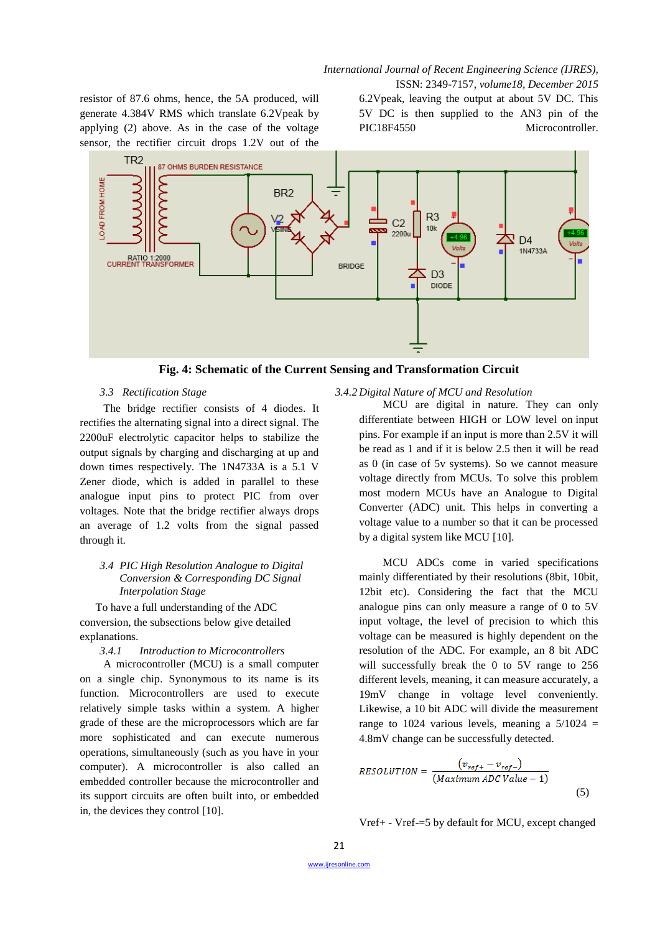*International Journal of Recent Engineering Science (IJRES),*

resistor of 87.6 ohms, hence, the 5A produced, will generate 4.384V RMS which translate 6.2Vpeak by applying (2) above. As in the case of the voltage sensor, the rectifier circuit drops 1.2V out of the

ISSN: 2349-7157, *volume18, December 2015* 6.2Vpeak, leaving the output at about 5V DC. This 5V DC is then supplied to the AN3 pin of the PIC18F4550 Microcontroller.



**Fig. 4: Schematic of the Current Sensing and Transformation Circuit**

#### *3.3 Rectification Stage*

The bridge rectifier consists of 4 diodes. It rectifies the alternating signal into a direct signal. The 2200uF electrolytic capacitor helps to stabilize the output signals by charging and discharging at up and down times respectively. The 1N4733A is a 5.1 V Zener diode, which is added in parallel to these analogue input pins to protect PIC from over voltages. Note that the bridge rectifier always drops an average of 1.2 volts from the signal passed through it.

## *3.4 PIC High Resolution Analogue to Digital Conversion & Corresponding DC Signal Interpolation Stage*

To have a full understanding of the ADC conversion, the subsections below give detailed explanations.

# *3.4.1 Introduction to Microcontrollers*

A microcontroller (MCU) is a small computer on a single chip. Synonymous to its name is its function. Microcontrollers are used to execute relatively simple tasks within a system. A higher grade of these are the microprocessors which are far more sophisticated and can execute numerous operations, simultaneously (such as you have in your computer). A microcontroller is also called an embedded controller because the microcontroller and its support circuits are often built into, or embedded in, the devices they control [10].

#### *3.4.2 Digital Nature of MCU and Resolution*

MCU are digital in nature. They can only differentiate between HIGH or LOW level on [input](http://extremeelectronics.co.in/microchip-pic-tutorials/general-purpose-digital-io-with-pic-microcontrollers/)  [pins.](http://extremeelectronics.co.in/microchip-pic-tutorials/general-purpose-digital-io-with-pic-microcontrollers/) For example if an input is more than 2.5V it will be read as 1 and if it is below 2.5 then it will be read as 0 (in case of 5v systems). So we cannot measure voltage directly from MCUs. To solve this problem most modern MCUs have an Analogue to Digital Converter (ADC) unit. This helps in converting a voltage value to a number so that it can be processed by a digital system like MCU [10].

MCU ADCs come in varied specifications mainly differentiated by their resolutions (8bit, 10bit, 12bit etc). Considering the fact that the MCU analogue pins can only measure a range of 0 to 5V input voltage, the level of precision to which this voltage can be measured is highly dependent on the resolution of the ADC. For example, an 8 bit ADC will successfully break the 0 to 5V range to 256 different levels, meaning, it can measure accurately, a 19mV change in voltage level conveniently. Likewise, a 10 bit ADC will divide the measurement range to 1024 various levels, meaning a  $5/1024$  = 4.8mV change can be successfully detected.

$$
RESOLUTION = \frac{(v_{ref+} - v_{ref-})}{(Maximum ADC Value - 1)}
$$
\n(5)

Vref+ - Vref-=5 by default for MCU, except changed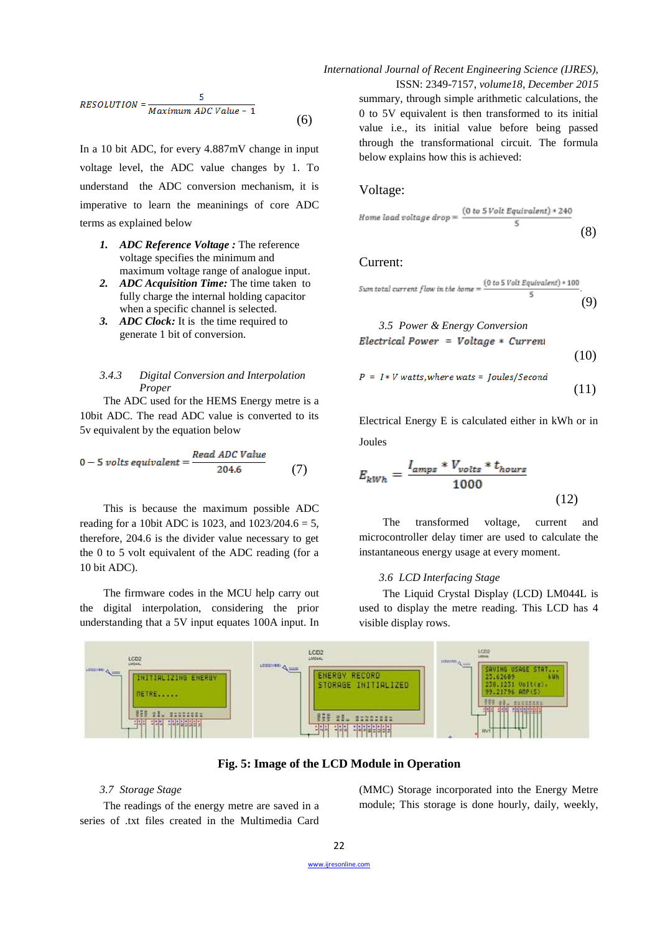$$
RESOLUTION = \frac{5}{Maximum \, ADC \, Value - 1}
$$
\n
$$
(6)
$$

In a 10 bit ADC, for every 4.887mV change in input voltage level, the ADC value changes by 1. To understand the ADC conversion mechanism, it is imperative to learn the meaninings of core ADC terms as explained below

- *1. ADC Reference Voltage :* The reference voltage specifies the minimum and maximum voltage range of analogue input.
- *2. ADC Acquisition Time:* The time taken to fully charge the internal holding capacitor when a specific channel is selected.
- *3. ADC Clock:* It is the time required to generate 1 bit of conversion.

#### *3.4.3 Digital Conversion and Interpolation Proper*

The ADC used for the HEMS Energy metre is a 10bit ADC. The read ADC value is converted to its 5v equivalent by the equation below

$$
0 - 5 \text{ volts equivalent} = \frac{\text{Read ADC Value}}{204.6} \tag{7}
$$

This is because the maximum possible ADC reading for a 10bit ADC is 1023, and  $1023/204.6 = 5$ , therefore, 204.6 is the divider value necessary to get the 0 to 5 volt equivalent of the ADC reading (for a 10 bit ADC).

The firmware codes in the MCU help carry out the digital interpolation, considering the prior understanding that a 5V input equates 100A input. In

# *International Journal of Recent Engineering Science (IJRES),*

ISSN: 2349-7157, *volume18, December 2015* summary, through simple arithmetic calculations, the 0 to 5V equivalent is then transformed to its initial value i.e., its initial value before being passed through the transformational circuit. The formula below explains how this is achieved:

# Voltage:

$$
Home\ load\ voltage\ drop = \frac{(0\ to\ 5\ Volt\ Equation{Equivalent}) * 240}{5} \tag{8}
$$

### Current:

Sum total current flow in the home = 
$$
\frac{(0 \text{ to } 5 \text{ Volt} \text{ Equivalent}) * 100}{5}.
$$
 (9)

3.5 Power & Energy Conversion  
Electrical Power = Voltage \* Current 
$$
(10)
$$

$$
P = I * V \text{ watts}, where \text{wats} = Joules/Second
$$
\n
$$
(11)
$$

Electrical Energy E is calculated either in kWh or in Joules

$$
E_{kWh} = \frac{I_{amps} * V_{volts} * t_{hours}}{1000}
$$
\n(12)

The transformed voltage, current and microcontroller delay timer are used to calculate the instantaneous energy usage at every moment.

#### *3.6 LCD Interfacing Stage*

The Liquid Crystal Display (LCD) LM044L is used to display the metre reading. This LCD has 4 visible display rows.



**Fig. 5: Image of the LCD Module in Operation**

### *3.7 Storage Stage*

The readings of the energy metre are saved in a series of .txt files created in the Multimedia Card

(MMC) Storage incorporated into the Energy Metre module; This storage is done hourly, daily, weekly,

[www.ijresonline.com](http://www.ijresonline.com/)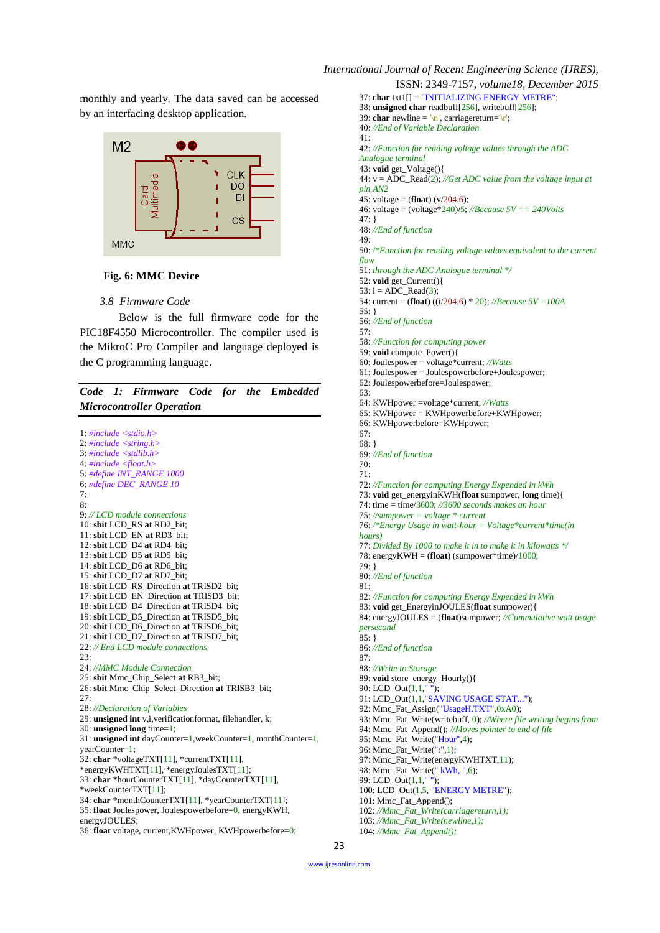

#### **Fig. 6: MMC Device**

#### *3.8 Firmware Code*

Below is the full firmware code for the PIC18F4550 Microcontroller. The compiler used is the MikroC Pro Compiler and language deployed is the C programming language.

# *Code 1: Firmware Code for the Embedded Microcontroller Operation*

1: *#include <stdio.h>* 2: *#include <string.h>* 3: *#include <stdlib.h>* 4: *#include <float.h>* 5: *#define INT\_RANGE 1000* 6: *#define DEC\_RANGE 10* 7: 8: 9: *// LCD module connections* 10: **sbit** LCD\_RS **at** RD2\_bit; 11: **sbit** LCD\_EN **at** RD3\_bit; 12: **sbit** LCD\_D4 **at** RD4\_bit; 13: **sbit** LCD\_D5 **at** RD5\_bit; 14: **sbit** LCD\_D6 **at** RD6\_bit; 15: **sbit** LCD\_D7 **at** RD7\_bit; 16: **sbit** LCD\_RS\_Direction **at** TRISD2\_bit; 17: **sbit** LCD\_EN\_Direction **at** TRISD3\_bit; 18: **sbit** LCD\_D4\_Direction **at** TRISD4\_bit; 19: **sbit** LCD\_D5\_Direction **at** TRISD5\_bit; 20: **sbit** LCD\_D6\_Direction **at** TRISD6\_bit; 21: **sbit** LCD\_D7\_Direction **at** TRISD7\_bit; 22: *// End LCD module connections*  $23:$ 24: *//MMC Module Connection* 25: **sbit** Mmc\_Chip\_Select **at** RB3\_bit; 26: **sbit** Mmc\_Chip\_Select\_Direction **at** TRISB3\_bit;  $27:$ 28: *//Declaration of Variables* 29: **unsigned int** v,i,verificationformat, filehandler, k; 30: **unsigned long** time=1; 31: **unsigned int** dayCounter=1,weekCounter=1, monthCounter=1, yearCounter=1; 32: **char** \*voltageTXT[11], \*currentTXT[11], \*energyKWHTXT[11], \*energyJoulesTXT[11]; 33: **char** \*hourCounterTXT[11], \*dayCounterTXT[11], \*weekCounterTXT[11]; 34: **char** \*monthCounterTXT[11], \*yearCounterTXT[11]; 35: **float** Joulespower, Joulespowerbefore=0, energyKWH, energyJOULES; 36: **float** voltage, current,KWHpower, KWHpowerbefore=0;

ISSN: 2349-7157, *volume18, December 2015* 37: **char** txt1[] = "INITIALIZING ENERGY METRE"; 38: **unsigned char** readbuff[256], writebuff[256]; 39: **char** newline =  $\ln$ , carriagereturn= $\ln$ ; 40: *//End of Variable Declaration* 41: 42: *//Function for reading voltage values through the ADC Analogue terminal* 43: **void** get\_Voltage(){ 44: v = ADC\_Read(2); *//Get ADC value from the voltage input at pin AN2* 45: voltage = (**float**) ( $v/204.6$ ); 46: voltage = (voltage\*240)/5; *//Because 5V == 240Volts* 47: } 48: *//End of function* 49: 50: */\*Function for reading voltage values equivalent to the current flow* 51: *through the ADC Analogue terminal \*/* 52: **void** get\_Current(){ 53:  $i = ADC$  Read(3): 54: current = (**float**) ((i/204.6) \* 20); *//Because 5V =100A* 55: } 56: *//End of function* 57: 58: *//Function for computing power* 59: **void** compute\_Power(){ 60: Joulespower = voltage\*current; *//Watts* 61: Joulespower = Joulespowerbefore+Joulespower; 62: Joulespowerbefore=Joulespower; 63: 64: KWHpower =voltage\*current; *//Watts* 65: KWHpower = KWHpowerbefore+KWHpower; 66: KWHpowerbefore=KWHpower; 67: 68: } 69: *//End of function* 70: 71: 72: *//Function for computing Energy Expended in kWh* 73: **void** get\_energyinKWH(**float** sumpower, **long** time){ 74: time = time/3600; *//3600 seconds makes an hour* 75: *//sumpower = voltage \* current* 76: */\*Energy Usage in watt-hour = Voltage\*current\*time(in hours)* 77: *Divided By 1000 to make it in to make it in kilowatts \*/* 78: energyKWH = (**float**) (sumpower\*time)/1000; 79: } 80: *//End of function* 81: 82: *//Function for computing Energy Expended in kWh* 83: **void** get\_EnergyinJOULES(**float** sumpower){ 84: energyJOULES = (**float**)sumpower; *//Cummulative watt usage persecond* 85: } 86: *//End of function* 87: 88: *//Write to Storage* 89: **void** store\_energy\_Hourly(){ 90: LCD\_Out(1,1," "); 91: LCD\_Out(1,1,"SAVING USAGE STAT..."); 92: Mmc\_Fat\_Assign("UsageH.TXT",0xA0); 93: Mmc\_Fat\_Write(writebuff, 0); *//Where file writing begins from* 94: Mmc\_Fat\_Append(); *//Moves pointer to end of file* 95: Mmc\_Fat\_Write("Hour",4); 96: Mmc\_Fat\_Write(":",1); 97: Mmc\_Fat\_Write(energyKWHTXT,11); 98: Mmc\_Fat\_Write(" kWh, ",6); 99: LCD\_Out(1,1," "); 100: LCD\_Out(1,5, "ENERGY METRE"); 101: Mmc\_Fat\_Append(); 102: *//Mmc\_Fat\_Write(carriagereturn,1);* 103: *//Mmc\_Fat\_Write(newline,1);* 104: *//Mmc\_Fat\_Append();*

[www.ijresonline.com](http://www.ijresonline.com/)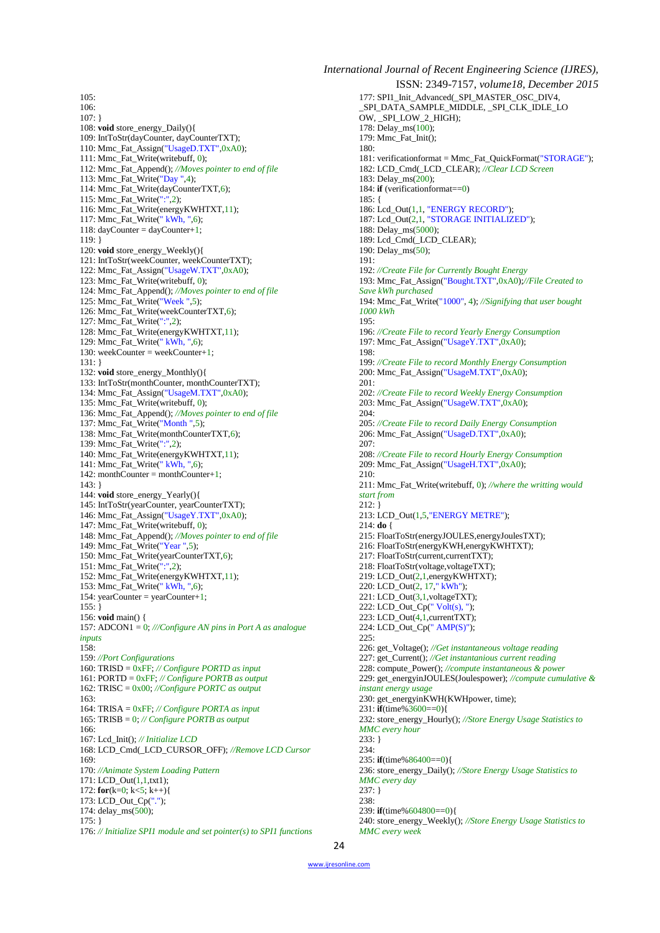$105:$  $106$ 107: } 108: **void** store\_energy\_Daily(){ 109: IntToStr(dayCounter, dayCounterTXT); 110: Mmc\_Fat\_Assign("UsageD.TXT",0xA0); 111: Mmc\_Fat\_Write(writebuff, 0); 112: Mmc\_Fat\_Append(); *//Moves pointer to end of file* 113: Mmc\_Fat\_Write("Day ",4); 114: Mmc\_Fat\_Write(dayCounterTXT,6); 115: Mmc\_Fat\_Write(":",2); 116: Mmc\_Fat\_Write(energyKWHTXT,11); 117: Mmc\_Fat\_Write(" kWh, ",6); 118: dayCounter = dayCounter+1; 119: } 120: **void** store\_energy\_Weekly(){ 121: IntToStr(weekCounter, weekCounterTXT); 122: Mmc\_Fat\_Assign("UsageW.TXT",0xA0); 123: Mmc\_Fat\_Write(writebuff, 0); 124: Mmc\_Fat\_Append(); *//Moves pointer to end of file* 125: Mmc\_Fat\_Write("Week ",5); 126: Mmc\_Fat\_Write(weekCounterTXT, $6$ ); 127: Mmc\_Fat\_Write(":",2); 128: Mmc\_Fat\_Write(energyKWHTXT,11); 129: Mmc\_Fat\_Write(" kWh, ",6); 130: weekCounter = weekCounter+1; 131: } 132: **void** store\_energy\_Monthly(){ 133: IntToStr(monthCounter, monthCounterTXT); 134: Mmc\_Fat\_Assign("UsageM.TXT",0xA0); 135: Mmc\_Fat\_Write(writebuff, 0); 136: Mmc\_Fat\_Append(); *//Moves pointer to end of file* 137: Mmc\_Fat\_Write("Month ",5); 138: Mmc\_Fat\_Write(monthCounterTXT,6); 139: Mmc\_Fat\_Write(":",2); 140: Mmc\_Fat\_Write(energyKWHTXT,11); 141: Mmc $\overline{\phantom{a}}$ Fat $\overline{\phantom{a}}$ Write(" kWh, ",6); 142: monthCounter = monthCounter+1; 143: } 144: **void** store\_energy\_Yearly(){ 145: IntToStr(yearCounter, yearCounterTXT); 146: Mmc\_Fat\_Assign("UsageY.TXT",0xA0); 147: Mmc\_Fat\_Write(writebuff, 0); 148: Mmc\_Fat\_Append(); *//Moves pointer to end of file* 149: Mmc\_Fat\_Write("Year ",5); 150: Mmc\_Fat\_Write(yearCounterTXT,6); 151: Mmc\_Fat\_Write(":",2); 152: Mmc\_Fat\_Write(energyKWHTXT,11); 153: Mmc\_Fat\_Write(" kWh, ",6); 154: yearCounter = yearCounter+1;  $155:$ } 156: **void** main() { 157: ADCON1 = 0; *///Configure AN pins in Port A as analogue inputs*  $158:$ 159: *//Port Configurations* 160: TRISD = 0xFF; *// Configure PORTD as input* 161: PORTD = 0xFF; *// Configure PORTB as output* 162: TRISC = 0x00; *//Configure PORTC as output* 163: 164: TRISA = 0xFF; *// Configure PORTA as input* 165: TRISB = 0; *// Configure PORTB as output* 166: 167: Lcd\_Init(); *// Initialize LCD* 168: LCD\_Cmd(\_LCD\_CURSOR\_OFF); *//Remove LCD Cursor* 169: 170: *//Animate System Loading Pattern* 171: LCD\_Out(1,1,txt1); 172: **for**(k=0; k<5; k++){ 173: LCD\_Out\_Cp("."); 174: delay\_ms(500); 175: } 176: *// Initialize SPI1 module and set pointer(s) to SPI1 functions* *International Journal of Recent Engineering Science (IJRES),* ISSN: 2349-7157, *volume18, December 2015* 177: SPI1\_Init\_Advanced(\_SPI\_MASTER\_OSC\_DIV4, \_SPI\_DATA\_SAMPLE\_MIDDLE, \_SPI\_CLK\_IDLE\_LO OW, \_SPI\_LOW\_2\_HIGH); 178: Delay\_ms(100); 179: Mmc\_Fat\_Init(); 180: 181: verificationformat = Mmc\_Fat\_QuickFormat("STORAGE"); 182: LCD\_Cmd(\_LCD\_CLEAR); *//Clear LCD Screen* 183: Delay\_ms(200); 184: **if** (verificationformat==0) 185: { 186: Lcd\_Out(1,1, "ENERGY RECORD"); 187: Lcd\_Out(2,1, "STORAGE INITIALIZED"); 188: Delay\_ms(5000); 189: Lcd\_Cmd(\_LCD\_CLEAR); 190: Delay\_ms(50); 191: 192: *//Create File for Currently Bought Energy* 193: Mmc\_Fat\_Assign("Bought.TXT",0xA0);*//File Created to Save kWh purchased* 194: Mmc\_Fat\_Write("1000", 4); *//Signifying that user bought 1000 kWh* 195: 196: *//Create File to record Yearly Energy Consumption* 197: Mmc\_Fat\_Assign("UsageY.TXT",0xA0); 198: 199: *//Create File to record Monthly Energy Consumption* 200: Mmc\_Fat\_Assign("UsageM.TXT",0xA0); 201: 202: *//Create File to record Weekly Energy Consumption* 203: Mmc\_Fat\_Assign("UsageW.TXT",0xA0); 204: 205: *//Create File to record Daily Energy Consumption* 206: Mmc\_Fat\_Assign("UsageD.TXT",0xA0); 207: 208: *//Create File to record Hourly Energy Consumption* 209: Mmc\_Fat\_Assign("UsageH.TXT",0xA0); 210: 211: Mmc\_Fat\_Write(writebuff, 0); *//where the writting would start from* 212: } 213: LCD\_Out(1,5,"ENERGY METRE"); 214: **do** { 215: FloatToStr(energyJOULES,energyJoulesTXT); 216: FloatToStr(energyKWH,energyKWHTXT); 217: FloatToStr(current,currentTXT); 218: FloatToStr(voltage,voltageTXT); 219: LCD\_Out(2,1,energyKWHTXT); 220: LCD\_Out(2, 17," kWh"); 221: LCD\_Out(3,1,voltageTXT); 222: LCD\_Out\_Cp( $"$  Volt(s), "); 223: LCD\_Out(4,1,currentTXT); 224: LCD\_Out\_Cp(" AMP(S)"); 225: 226: get\_Voltage(); *//Get instantaneous voltage reading* 227: get\_Current(); *//Get instantanious current reading* 228: compute\_Power(); *//compute instantaneous & power* 229: get\_energyinJOULES(Joulespower); *//compute cumulative & instant energy usage* 230: get\_energyinKWH(KWHpower, time); 231: **if**(time%3600==0){ 232: store\_energy\_Hourly(); *//Store Energy Usage Statistics to MMC every hour* 233: } 234: 235: **if**(time%86400==0){ 236: store\_energy\_Daily(); *//Store Energy Usage Statistics to MMC every day* 237: }  $238.$ 239: **if**(time%604800==0){ 240: store\_energy\_Weekly(); *//Store Energy Usage Statistics to* 

*MMC every week*